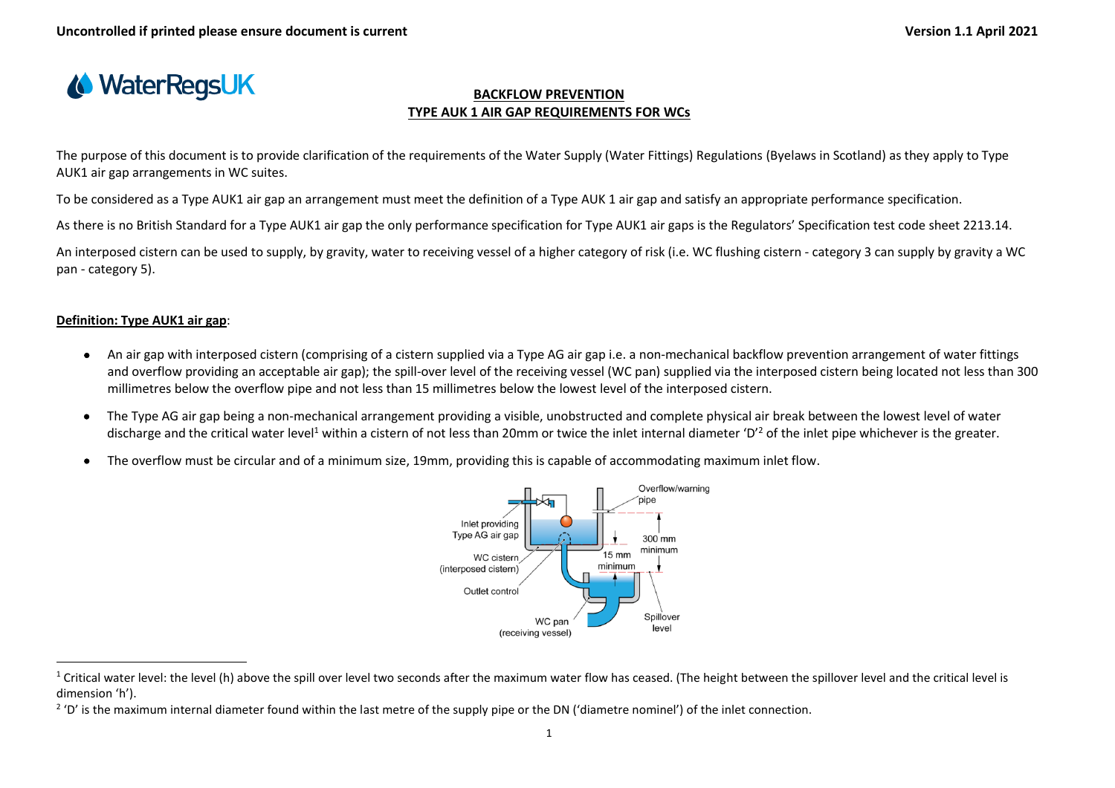

## **BACKFLOW PREVENTION TYPE AUK 1 AIR GAP REQUIREMENTS FOR WCs**

The purpose of this document is to provide clarification of the requirements of the Water Supply (Water Fittings) Regulations (Byelaws in Scotland) as they apply to Type AUK1 air gap arrangements in WC suites.

To be considered as a Type AUK1 air gap an arrangement must meet the definition of a Type AUK 1 air gap and satisfy an appropriate performance specification.

As there is no British Standard for a Type AUK1 air gap the only performance specification for Type AUK1 air gaps is the Regulators' Specification test code sheet 2213.14.

An interposed cistern can be used to supply, by gravity, water to receiving vessel of a higher category of risk (i.e. WC flushing cistern - category 3 can supply by gravity a WC pan - category 5).

## **Definition: Type AUK1 air gap**:

- An air gap with interposed cistern (comprising of a cistern supplied via a Type AG air gap i.e. a non-mechanical backflow prevention arrangement of water fittings and overflow providing an acceptable air gap); the spill-over level of the receiving vessel (WC pan) supplied via the interposed cistern being located not less than 300 millimetres below the overflow pipe and not less than 15 millimetres below the lowest level of the interposed cistern.
- The Type AG air gap being a non-mechanical arrangement providing a visible, unobstructed and complete physical air break between the lowest level of water discharge and the critical water level<sup>1</sup> within a cistern of not less than 20mm or twice the inlet internal diameter 'D'<sup>2</sup> of the inlet pipe whichever is the greater.
- The overflow must be circular and of a minimum size, 19mm, providing this is capable of accommodating maximum inlet flow.



 $1$  Critical water level: the level (h) above the spill over level two seconds after the maximum water flow has ceased. (The height between the spillover level and the critical level is dimension 'h').

<sup>&</sup>lt;sup>2</sup> 'D' is the maximum internal diameter found within the last metre of the supply pipe or the DN ('diametre nominel') of the inlet connection.